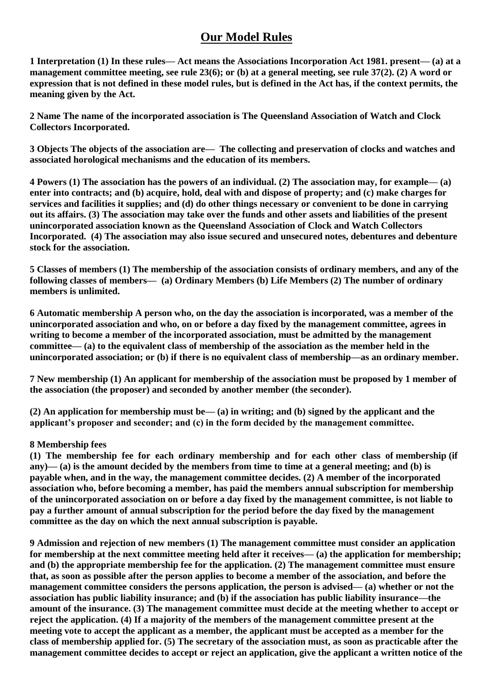## **Our Model Rules**

**1 Interpretation (1) In these rules— Act means the Associations Incorporation Act 1981. present— (a) at a management committee meeting, see rule 23(6); or (b) at a general meeting, see rule 37(2). (2) A word or expression that is not defined in these model rules, but is defined in the Act has, if the context permits, the meaning given by the Act.**

**2 Name The name of the incorporated association is The Queensland Association of Watch and Clock Collectors Incorporated.**

**3 Objects The objects of the association are— The collecting and preservation of clocks and watches and associated horological mechanisms and the education of its members.**

**4 Powers (1) The association has the powers of an individual. (2) The association may, for example— (a) enter into contracts; and (b) acquire, hold, deal with and dispose of property; and (c) make charges for services and facilities it supplies; and (d) do other things necessary or convenient to be done in carrying out its affairs. (3) The association may take over the funds and other assets and liabilities of the present unincorporated association known as the Queensland Association of Clock and Watch Collectors Incorporated. (4) The association may also issue secured and unsecured notes, debentures and debenture stock for the association.**

**5 Classes of members (1) The membership of the association consists of ordinary members, and any of the following classes of members— (a) Ordinary Members (b) Life Members (2) The number of ordinary members is unlimited.**

**6 Automatic membership A person who, on the day the association is incorporated, was a member of the unincorporated association and who, on or before a day fixed by the management committee, agrees in writing to become a member of the incorporated association, must be admitted by the management committee— (a) to the equivalent class of membership of the association as the member held in the unincorporated association; or (b) if there is no equivalent class of membership—as an ordinary member.**

**7 New membership (1) An applicant for membership of the association must be proposed by 1 member of the association (the proposer) and seconded by another member (the seconder).**

**(2) An application for membership must be— (a) in writing; and (b) signed by the applicant and the applicant's proposer and seconder; and (c) in the form decided by the management committee.**

## **8 Membership fees**

**(1) The membership fee for each ordinary membership and for each other class of membership (if any)— (a) is the amount decided by the members from time to time at a general meeting; and (b) is payable when, and in the way, the management committee decides. (2) A member of the incorporated association who, before becoming a member, has paid the members annual subscription for membership of the unincorporated association on or before a day fixed by the management committee, is not liable to pay a further amount of annual subscription for the period before the day fixed by the management committee as the day on which the next annual subscription is payable.**

**9 Admission and rejection of new members (1) The management committee must consider an application for membership at the next committee meeting held after it receives— (a) the application for membership; and (b) the appropriate membership fee for the application. (2) The management committee must ensure that, as soon as possible after the person applies to become a member of the association, and before the management committee considers the persons application, the person is advised— (a) whether or not the association has public liability insurance; and (b) if the association has public liability insurance—the amount of the insurance. (3) The management committee must decide at the meeting whether to accept or reject the application. (4) If a majority of the members of the management committee present at the meeting vote to accept the applicant as a member, the applicant must be accepted as a member for the class of membership applied for. (5) The secretary of the association must, as soon as practicable after the management committee decides to accept or reject an application, give the applicant a written notice of the**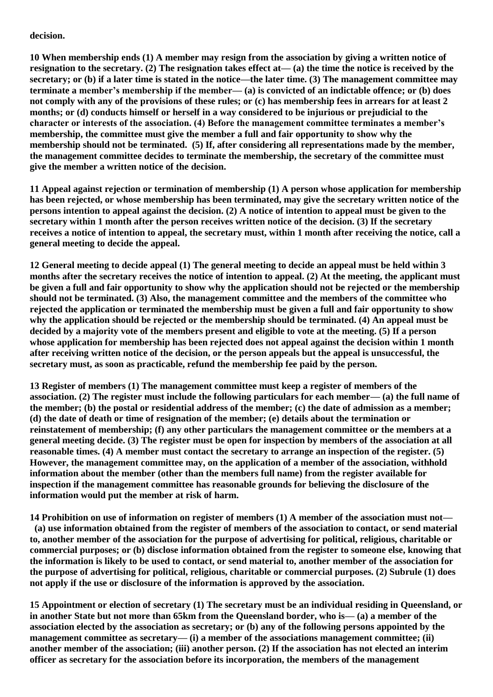## **decision.**

**10 When membership ends (1) A member may resign from the association by giving a written notice of resignation to the secretary. (2) The resignation takes effect at— (a) the time the notice is received by the secretary; or (b) if a later time is stated in the notice—the later time. (3) The management committee may terminate a member's membership if the member— (a) is convicted of an indictable offence; or (b) does not comply with any of the provisions of these rules; or (c) has membership fees in arrears for at least 2 months; or (d) conducts himself or herself in a way considered to be injurious or prejudicial to the character or interests of the association. (4) Before the management committee terminates a member's membership, the committee must give the member a full and fair opportunity to show why the membership should not be terminated. (5) If, after considering all representations made by the member, the management committee decides to terminate the membership, the secretary of the committee must give the member a written notice of the decision.** 

**11 Appeal against rejection or termination of membership (1) A person whose application for membership has been rejected, or whose membership has been terminated, may give the secretary written notice of the persons intention to appeal against the decision. (2) A notice of intention to appeal must be given to the secretary within 1 month after the person receives written notice of the decision. (3) If the secretary receives a notice of intention to appeal, the secretary must, within 1 month after receiving the notice, call a general meeting to decide the appeal.**

**12 General meeting to decide appeal (1) The general meeting to decide an appeal must be held within 3 months after the secretary receives the notice of intention to appeal. (2) At the meeting, the applicant must be given a full and fair opportunity to show why the application should not be rejected or the membership should not be terminated. (3) Also, the management committee and the members of the committee who rejected the application or terminated the membership must be given a full and fair opportunity to show why the application should be rejected or the membership should be terminated. (4) An appeal must be decided by a majority vote of the members present and eligible to vote at the meeting. (5) If a person whose application for membership has been rejected does not appeal against the decision within 1 month after receiving written notice of the decision, or the person appeals but the appeal is unsuccessful, the secretary must, as soon as practicable, refund the membership fee paid by the person.**

**13 Register of members (1) The management committee must keep a register of members of the association. (2) The register must include the following particulars for each member— (a) the full name of the member; (b) the postal or residential address of the member; (c) the date of admission as a member; (d) the date of death or time of resignation of the member; (e) details about the termination or reinstatement of membership; (f) any other particulars the management committee or the members at a general meeting decide. (3) The register must be open for inspection by members of the association at all reasonable times. (4) A member must contact the secretary to arrange an inspection of the register. (5) However, the management committee may, on the application of a member of the association, withhold information about the member (other than the members full name) from the register available for inspection if the management committee has reasonable grounds for believing the disclosure of the information would put the member at risk of harm.**

**14 Prohibition on use of information on register of members (1) A member of the association must not—**

**(a) use information obtained from the register of members of the association to contact, or send material to, another member of the association for the purpose of advertising for political, religious, charitable or commercial purposes; or (b) disclose information obtained from the register to someone else, knowing that the information is likely to be used to contact, or send material to, another member of the association for the purpose of advertising for political, religious, charitable or commercial purposes. (2) Subrule (1) does not apply if the use or disclosure of the information is approved by the association.**

**15 Appointment or election of secretary (1) The secretary must be an individual residing in Queensland, or in another State but not more than 65km from the Queensland border, who is— (a) a member of the association elected by the association as secretary; or (b) any of the following persons appointed by the management committee as secretary— (i) a member of the associations management committee; (ii) another member of the association; (iii) another person. (2) If the association has not elected an interim officer as secretary for the association before its incorporation, the members of the management**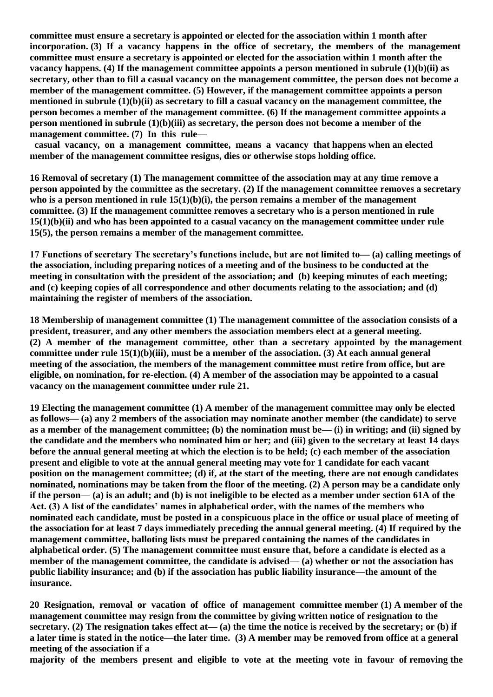**committee must ensure a secretary is appointed or elected for the association within 1 month after incorporation. (3) If a vacancy happens in the office of secretary, the members of the management committee must ensure a secretary is appointed or elected for the association within 1 month after the vacancy happens. (4) If the management committee appoints a person mentioned in subrule (1)(b)(ii) as secretary, other than to fill a casual vacancy on the management committee, the person does not become a member of the management committee. (5) However, if the management committee appoints a person mentioned in subrule (1)(b)(ii) as secretary to fill a casual vacancy on the management committee, the person becomes a member of the management committee. (6) If the management committee appoints a person mentioned in subrule (1)(b)(iii) as secretary, the person does not become a member of the management committee. (7) In this rule—**

**casual vacancy, on a management committee, means a vacancy that happens when an elected member of the management committee resigns, dies or otherwise stops holding office.**

**16 Removal of secretary (1) The management committee of the association may at any time remove a person appointed by the committee as the secretary. (2) If the management committee removes a secretary**  who is a person mentioned in rule  $15(1)(b)(i)$ , the person remains a member of the management **committee. (3) If the management committee removes a secretary who is a person mentioned in rule 15(1)(b)(ii) and who has been appointed to a casual vacancy on the management committee under rule 15(5), the person remains a member of the management committee.**

**17 Functions of secretary The secretary's functions include, but are not limited to— (a) calling meetings of the association, including preparing notices of a meeting and of the business to be conducted at the meeting in consultation with the president of the association; and (b) keeping minutes of each meeting; and (c) keeping copies of all correspondence and other documents relating to the association; and (d) maintaining the register of members of the association.**

**18 Membership of management committee (1) The management committee of the association consists of a president, treasurer, and any other members the association members elect at a general meeting. (2) A member of the management committee, other than a secretary appointed by the management committee under rule 15(1)(b)(iii), must be a member of the association. (3) At each annual general meeting of the association, the members of the management committee must retire from office, but are eligible, on nomination, for re-election. (4) A member of the association may be appointed to a casual vacancy on the management committee under rule 21.**

**19 Electing the management committee (1) A member of the management committee may only be elected as follows— (a) any 2 members of the association may nominate another member (the candidate) to serve as a member of the management committee; (b) the nomination must be— (i) in writing; and (ii) signed by the candidate and the members who nominated him or her; and (iii) given to the secretary at least 14 days before the annual general meeting at which the election is to be held; (c) each member of the association present and eligible to vote at the annual general meeting may vote for 1 candidate for each vacant position on the management committee; (d) if, at the start of the meeting, there are not enough candidates nominated, nominations may be taken from the floor of the meeting. (2) A person may be a candidate only if the person— (a) is an adult; and (b) is not ineligible to be elected as a member under section 61A of the Act. (3) A list of the candidates' names in alphabetical order, with the names of the members who nominated each candidate, must be posted in a conspicuous place in the office or usual place of meeting of the association for at least 7 days immediately preceding the annual general meeting. (4) If required by the management committee, balloting lists must be prepared containing the names of the candidates in alphabetical order. (5) The management committee must ensure that, before a candidate is elected as a member of the management committee, the candidate is advised— (a) whether or not the association has public liability insurance; and (b) if the association has public liability insurance—the amount of the insurance.**

**20 Resignation, removal or vacation of office of management committee member (1) A member of the management committee may resign from the committee by giving written notice of resignation to the secretary. (2) The resignation takes effect at— (a) the time the notice is received by the secretary; or (b) if a later time is stated in the notice—the later time. (3) A member may be removed from office at a general meeting of the association if a** 

**majority of the members present and eligible to vote at the meeting vote in favour of removing the**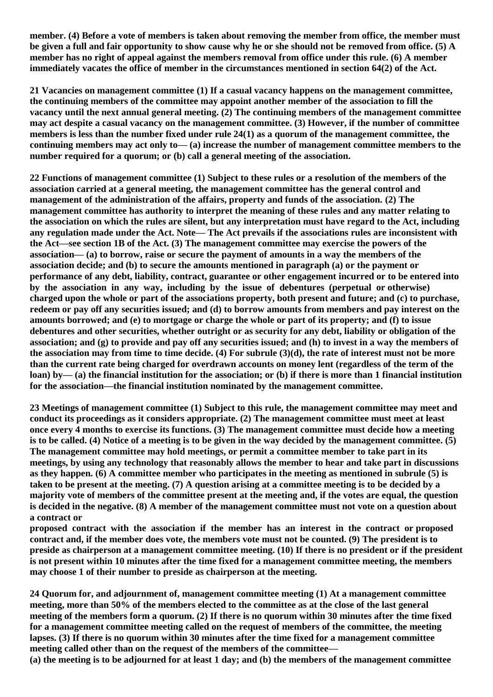**member. (4) Before a vote of members is taken about removing the member from office, the member must be given a full and fair opportunity to show cause why he or she should not be removed from office. (5) A member has no right of appeal against the members removal from office under this rule. (6) A member immediately vacates the office of member in the circumstances mentioned in section 64(2) of the Act.**

**21 Vacancies on management committee (1) If a casual vacancy happens on the management committee, the continuing members of the committee may appoint another member of the association to fill the vacancy until the next annual general meeting. (2) The continuing members of the management committee may act despite a casual vacancy on the management committee. (3) However, if the number of committee members is less than the number fixed under rule 24(1) as a quorum of the management committee, the continuing members may act only to— (a) increase the number of management committee members to the number required for a quorum; or (b) call a general meeting of the association.**

**22 Functions of management committee (1) Subject to these rules or a resolution of the members of the association carried at a general meeting, the management committee has the general control and management of the administration of the affairs, property and funds of the association. (2) The management committee has authority to interpret the meaning of these rules and any matter relating to the association on which the rules are silent, but any interpretation must have regard to the Act, including any regulation made under the Act. Note— The Act prevails if the associations rules are inconsistent with the Act—see section 1B of the Act. (3) The management committee may exercise the powers of the association— (a) to borrow, raise or secure the payment of amounts in a way the members of the association decide; and (b) to secure the amounts mentioned in paragraph (a) or the payment or performance of any debt, liability, contract, guarantee or other engagement incurred or to be entered into by the association in any way, including by the issue of debentures (perpetual or otherwise) charged upon the whole or part of the associations property, both present and future; and (c) to purchase, redeem or pay off any securities issued; and (d) to borrow amounts from members and pay interest on the amounts borrowed; and (e) to mortgage or charge the whole or part of its property; and (f) to issue debentures and other securities, whether outright or as security for any debt, liability or obligation of the association; and (g) to provide and pay off any securities issued; and (h) to invest in a way the members of the association may from time to time decide. (4) For subrule (3)(d), the rate of interest must not be more than the current rate being charged for overdrawn accounts on money lent (regardless of the term of the loan) by— (a) the financial institution for the association; or (b) if there is more than 1 financial institution for the association—the financial institution nominated by the management committee.** 

**23 Meetings of management committee (1) Subject to this rule, the management committee may meet and conduct its proceedings as it considers appropriate. (2) The management committee must meet at least once every 4 months to exercise its functions. (3) The management committee must decide how a meeting is to be called. (4) Notice of a meeting is to be given in the way decided by the management committee. (5) The management committee may hold meetings, or permit a committee member to take part in its meetings, by using any technology that reasonably allows the member to hear and take part in discussions as they happen. (6) A committee member who participates in the meeting as mentioned in subrule (5) is taken to be present at the meeting. (7) A question arising at a committee meeting is to be decided by a majority vote of members of the committee present at the meeting and, if the votes are equal, the question is decided in the negative. (8) A member of the management committee must not vote on a question about a contract or** 

**proposed contract with the association if the member has an interest in the contract or proposed contract and, if the member does vote, the members vote must not be counted. (9) The president is to preside as chairperson at a management committee meeting. (10) If there is no president or if the president is not present within 10 minutes after the time fixed for a management committee meeting, the members may choose 1 of their number to preside as chairperson at the meeting.**

**24 Quorum for, and adjournment of, management committee meeting (1) At a management committee meeting, more than 50% of the members elected to the committee as at the close of the last general meeting of the members form a quorum. (2) If there is no quorum within 30 minutes after the time fixed for a management committee meeting called on the request of members of the committee, the meeting lapses. (3) If there is no quorum within 30 minutes after the time fixed for a management committee meeting called other than on the request of the members of the committee—** 

**(a) the meeting is to be adjourned for at least 1 day; and (b) the members of the management committee**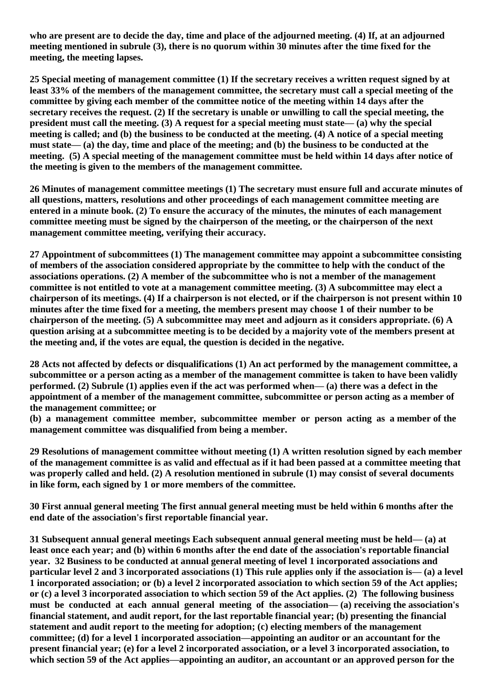**who are present are to decide the day, time and place of the adjourned meeting. (4) If, at an adjourned meeting mentioned in subrule (3), there is no quorum within 30 minutes after the time fixed for the meeting, the meeting lapses.**

**25 Special meeting of management committee (1) If the secretary receives a written request signed by at least 33% of the members of the management committee, the secretary must call a special meeting of the committee by giving each member of the committee notice of the meeting within 14 days after the secretary receives the request. (2) If the secretary is unable or unwilling to call the special meeting, the president must call the meeting. (3) A request for a special meeting must state— (a) why the special meeting is called; and (b) the business to be conducted at the meeting. (4) A notice of a special meeting must state— (a) the day, time and place of the meeting; and (b) the business to be conducted at the meeting. (5) A special meeting of the management committee must be held within 14 days after notice of the meeting is given to the members of the management committee.**

**26 Minutes of management committee meetings (1) The secretary must ensure full and accurate minutes of all questions, matters, resolutions and other proceedings of each management committee meeting are entered in a minute book. (2) To ensure the accuracy of the minutes, the minutes of each management committee meeting must be signed by the chairperson of the meeting, or the chairperson of the next management committee meeting, verifying their accuracy.**

**27 Appointment of subcommittees (1) The management committee may appoint a subcommittee consisting of members of the association considered appropriate by the committee to help with the conduct of the associations operations. (2) A member of the subcommittee who is not a member of the management committee is not entitled to vote at a management committee meeting. (3) A subcommittee may elect a chairperson of its meetings. (4) If a chairperson is not elected, or if the chairperson is not present within 10 minutes after the time fixed for a meeting, the members present may choose 1 of their number to be chairperson of the meeting. (5) A subcommittee may meet and adjourn as it considers appropriate. (6) A question arising at a subcommittee meeting is to be decided by a majority vote of the members present at the meeting and, if the votes are equal, the question is decided in the negative.**

**28 Acts not affected by defects or disqualifications (1) An act performed by the management committee, a subcommittee or a person acting as a member of the management committee is taken to have been validly performed. (2) Subrule (1) applies even if the act was performed when— (a) there was a defect in the appointment of a member of the management committee, subcommittee or person acting as a member of the management committee; or** 

**(b) a management committee member, subcommittee member or person acting as a member of the management committee was disqualified from being a member.**

**29 Resolutions of management committee without meeting (1) A written resolution signed by each member of the management committee is as valid and effectual as if it had been passed at a committee meeting that was properly called and held. (2) A resolution mentioned in subrule (1) may consist of several documents in like form, each signed by 1 or more members of the committee.** 

**30 First annual general meeting The first annual general meeting must be held within 6 months after the end date of the association's first reportable financial year.**

**31 Subsequent annual general meetings Each subsequent annual general meeting must be held— (a) at least once each year; and (b) within 6 months after the end date of the association's reportable financial year. 32 Business to be conducted at annual general meeting of level 1 incorporated associations and particular level 2 and 3 incorporated associations (1) This rule applies only if the association is— (a) a level 1 incorporated association; or (b) a level 2 incorporated association to which section 59 of the Act applies; or (c) a level 3 incorporated association to which section 59 of the Act applies. (2) The following business must be conducted at each annual general meeting of the association— (a) receiving the association's financial statement, and audit report, for the last reportable financial year; (b) presenting the financial statement and audit report to the meeting for adoption; (c) electing members of the management committee; (d) for a level 1 incorporated association—appointing an auditor or an accountant for the present financial year; (e) for a level 2 incorporated association, or a level 3 incorporated association, to which section 59 of the Act applies—appointing an auditor, an accountant or an approved person for the**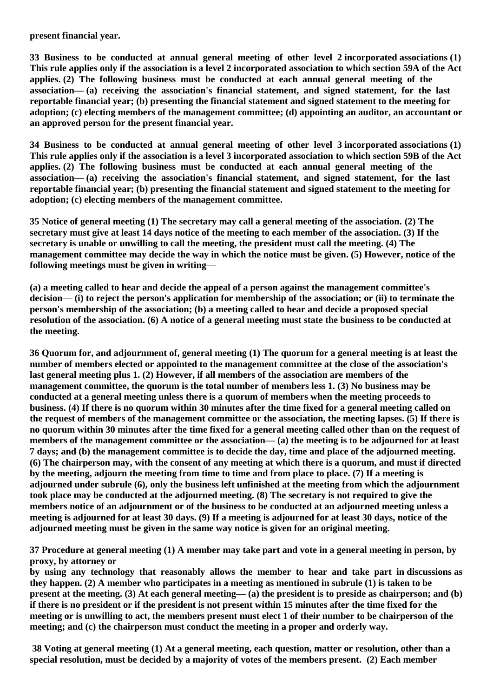**present financial year.**

**33 Business to be conducted at annual general meeting of other level 2 incorporated associations (1) This rule applies only if the association is a level 2 incorporated association to which section 59A of the Act applies. (2) The following business must be conducted at each annual general meeting of the association— (a) receiving the association's financial statement, and signed statement, for the last reportable financial year; (b) presenting the financial statement and signed statement to the meeting for adoption; (c) electing members of the management committee; (d) appointing an auditor, an accountant or an approved person for the present financial year.**

**34 Business to be conducted at annual general meeting of other level 3 incorporated associations (1) This rule applies only if the association is a level 3 incorporated association to which section 59B of the Act applies. (2) The following business must be conducted at each annual general meeting of the association— (a) receiving the association's financial statement, and signed statement, for the last reportable financial year; (b) presenting the financial statement and signed statement to the meeting for adoption; (c) electing members of the management committee.**

**35 Notice of general meeting (1) The secretary may call a general meeting of the association. (2) The secretary must give at least 14 days notice of the meeting to each member of the association. (3) If the secretary is unable or unwilling to call the meeting, the president must call the meeting. (4) The management committee may decide the way in which the notice must be given. (5) However, notice of the following meetings must be given in writing—**

**(a) a meeting called to hear and decide the appeal of a person against the management committee's decision— (i) to reject the person's application for membership of the association; or (ii) to terminate the person's membership of the association; (b) a meeting called to hear and decide a proposed special resolution of the association. (6) A notice of a general meeting must state the business to be conducted at the meeting.**

**36 Quorum for, and adjournment of, general meeting (1) The quorum for a general meeting is at least the number of members elected or appointed to the management committee at the close of the association's last general meeting plus 1. (2) However, if all members of the association are members of the management committee, the quorum is the total number of members less 1. (3) No business may be conducted at a general meeting unless there is a quorum of members when the meeting proceeds to business. (4) If there is no quorum within 30 minutes after the time fixed for a general meeting called on the request of members of the management committee or the association, the meeting lapses. (5) If there is no quorum within 30 minutes after the time fixed for a general meeting called other than on the request of members of the management committee or the association— (a) the meeting is to be adjourned for at least 7 days; and (b) the management committee is to decide the day, time and place of the adjourned meeting. (6) The chairperson may, with the consent of any meeting at which there is a quorum, and must if directed by the meeting, adjourn the meeting from time to time and from place to place. (7) If a meeting is adjourned under subrule (6), only the business left unfinished at the meeting from which the adjournment took place may be conducted at the adjourned meeting. (8) The secretary is not required to give the members notice of an adjournment or of the business to be conducted at an adjourned meeting unless a meeting is adjourned for at least 30 days. (9) If a meeting is adjourned for at least 30 days, notice of the adjourned meeting must be given in the same way notice is given for an original meeting.**

**37 Procedure at general meeting (1) A member may take part and vote in a general meeting in person, by proxy, by attorney or** 

**by using any technology that reasonably allows the member to hear and take part in discussions as they happen. (2) A member who participates in a meeting as mentioned in subrule (1) is taken to be present at the meeting. (3) At each general meeting— (a) the president is to preside as chairperson; and (b) if there is no president or if the president is not present within 15 minutes after the time fixed for the meeting or is unwilling to act, the members present must elect 1 of their number to be chairperson of the meeting; and (c) the chairperson must conduct the meeting in a proper and orderly way.**

**38 Voting at general meeting (1) At a general meeting, each question, matter or resolution, other than a special resolution, must be decided by a majority of votes of the members present. (2) Each member**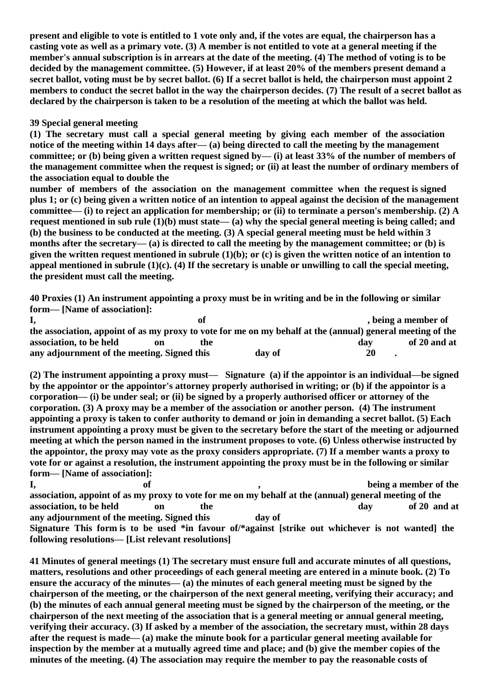**present and eligible to vote is entitled to 1 vote only and, if the votes are equal, the chairperson has a casting vote as well as a primary vote. (3) A member is not entitled to vote at a general meeting if the member's annual subscription is in arrears at the date of the meeting. (4) The method of voting is to be decided by the management committee. (5) However, if at least 20% of the members present demand a secret ballot, voting must be by secret ballot. (6) If a secret ballot is held, the chairperson must appoint 2 members to conduct the secret ballot in the way the chairperson decides. (7) The result of a secret ballot as declared by the chairperson is taken to be a resolution of the meeting at which the ballot was held.**

## **39 Special general meeting**

**(1) The secretary must call a special general meeting by giving each member of the association notice of the meeting within 14 days after— (a) being directed to call the meeting by the management committee; or (b) being given a written request signed by— (i) at least 33% of the number of members of the management committee when the request is signed; or (ii) at least the number of ordinary members of the association equal to double the** 

**number of members of the association on the management committee when the request is signed plus 1; or (c) being given a written notice of an intention to appeal against the decision of the management committee— (i) to reject an application for membership; or (ii) to terminate a person's membership. (2) A request mentioned in sub rule (1)(b) must state— (a) why the special general meeting is being called; and (b) the business to be conducted at the meeting. (3) A special general meeting must be held within 3 months after the secretary— (a) is directed to call the meeting by the management committee; or (b) is given the written request mentioned in subrule (1)(b); or (c) is given the written notice of an intention to appeal mentioned in subrule (1)(c). (4) If the secretary is unable or unwilling to call the special meeting, the president must call the meeting.**

**40 Proxies (1) An instrument appointing a proxy must be in writing and be in the following or similar form— [Name of association]:** 

|                                                                                                            |    |     |        | , being a member of |              |
|------------------------------------------------------------------------------------------------------------|----|-----|--------|---------------------|--------------|
| the association, appoint of as my proxy to vote for me on my behalf at the (annual) general meeting of the |    |     |        |                     |              |
| association, to be held                                                                                    | on | the |        | dav                 | of 20 and at |
| any adjournment of the meeting. Signed this                                                                |    |     | day of | 20                  |              |

**(2) The instrument appointing a proxy must— Signature (a) if the appointor is an individual—be signed by the appointor or the appointor's attorney properly authorised in writing; or (b) if the appointor is a corporation— (i) be under seal; or (ii) be signed by a properly authorised officer or attorney of the corporation. (3) A proxy may be a member of the association or another person. (4) The instrument appointing a proxy is taken to confer authority to demand or join in demanding a secret ballot. (5) Each instrument appointing a proxy must be given to the secretary before the start of the meeting or adjourned meeting at which the person named in the instrument proposes to vote. (6) Unless otherwise instructed by the appointor, the proxy may vote as the proxy considers appropriate. (7) If a member wants a proxy to vote for or against a resolution, the instrument appointing the proxy must be in the following or similar form— [Name of association]:** 

**I,** being a member of the set of the set of the set of the set of the set of the set of the set of the set of the set of the set of the set of the set of the set of the set of the set of the set of the set of the set of t **association, appoint of as my proxy to vote for me on my behalf at the (annual) general meeting of the association, to be held** on the day of 20 and at **any adjournment of the meeting. Signed this day of Signature This form is to be used \*in favour of/\*against [strike out whichever is not wanted] the following resolutions— [List relevant resolutions]**

**41 Minutes of general meetings (1) The secretary must ensure full and accurate minutes of all questions, matters, resolutions and other proceedings of each general meeting are entered in a minute book. (2) To ensure the accuracy of the minutes— (a) the minutes of each general meeting must be signed by the chairperson of the meeting, or the chairperson of the next general meeting, verifying their accuracy; and (b) the minutes of each annual general meeting must be signed by the chairperson of the meeting, or the chairperson of the next meeting of the association that is a general meeting or annual general meeting, verifying their accuracy. (3) If asked by a member of the association, the secretary must, within 28 days after the request is made— (a) make the minute book for a particular general meeting available for inspection by the member at a mutually agreed time and place; and (b) give the member copies of the minutes of the meeting. (4) The association may require the member to pay the reasonable costs of**